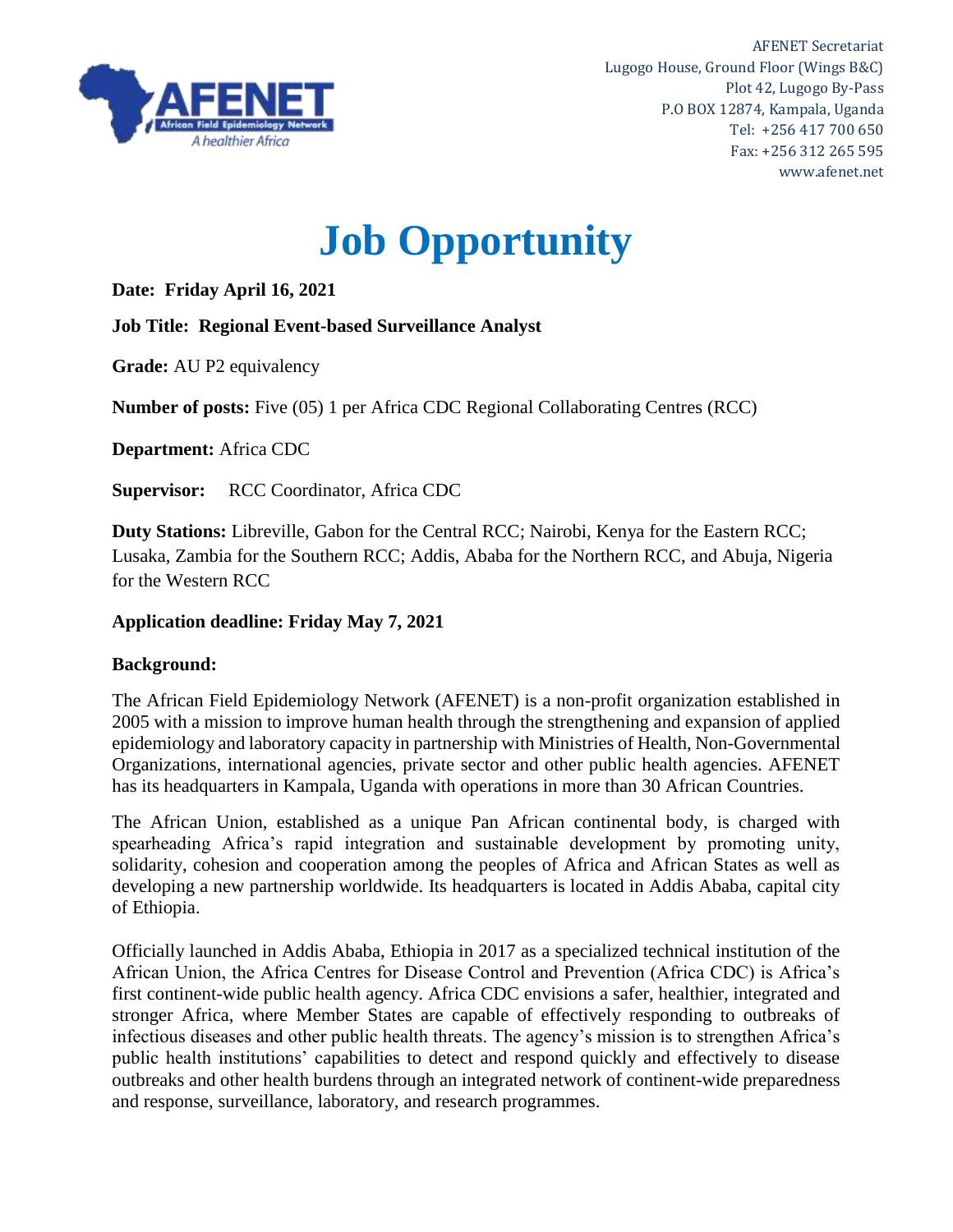

AFENET Secretariat Lugogo House, Ground Floor (Wings B&C) Plot 42, Lugogo By-Pass P.O BOX 12874, Kampala, Uganda Tel: +256 417 700 650 Fax: +256 312 265 595 www.afenet.net

# **Job Opportunity**

**Date: Friday April 16, 2021**

**Job Title: Regional Event-based Surveillance Analyst**

**Grade:** AU P2 equivalency

**Number of posts:** Five (05) 1 per Africa CDC Regional Collaborating Centres (RCC)

**Department:** Africa CDC

**Supervisor:** RCC Coordinator, Africa CDC

**Duty Stations:** Libreville, Gabon for the Central RCC; Nairobi, Kenya for the Eastern RCC; Lusaka, Zambia for the Southern RCC; Addis, Ababa for the Northern RCC, and Abuja, Nigeria for the Western RCC

## **Application deadline: Friday May 7, 2021**

#### **Background:**

The African Field Epidemiology Network (AFENET) is a non-profit organization established in 2005 with a mission to improve human health through the strengthening and expansion of applied epidemiology and laboratory capacity in partnership with Ministries of Health, Non-Governmental Organizations, international agencies, private sector and other public health agencies. AFENET has its headquarters in Kampala, Uganda with operations in more than 30 African Countries.

The African Union, established as a unique Pan African continental body, is charged with spearheading Africa's rapid integration and sustainable development by promoting unity, solidarity, cohesion and cooperation among the peoples of Africa and African States as well as developing a new partnership worldwide. Its headquarters is located in Addis Ababa, capital city of Ethiopia.

Officially launched in Addis Ababa, Ethiopia in 2017 as a specialized technical institution of the African Union, the Africa Centres for Disease Control and Prevention (Africa CDC) is Africa's first continent-wide public health agency. Africa CDC envisions a safer, healthier, integrated and stronger Africa, where Member States are capable of effectively responding to outbreaks of infectious diseases and other public health threats. The agency's mission is to strengthen Africa's public health institutions' capabilities to detect and respond quickly and effectively to disease outbreaks and other health burdens through an integrated network of continent-wide preparedness and response, surveillance, laboratory, and research programmes.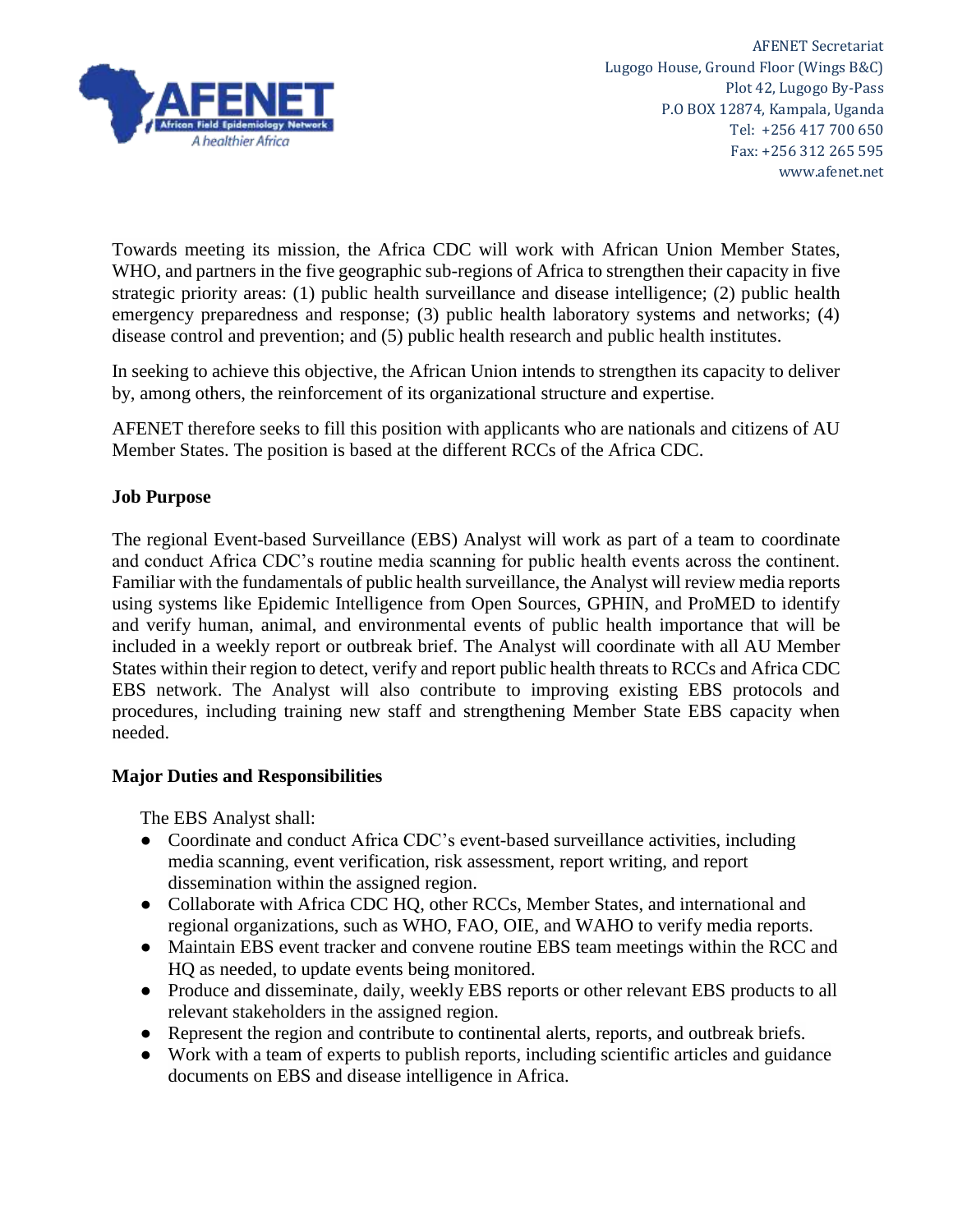

Towards meeting its mission, the Africa CDC will work with African Union Member States, WHO, and partners in the five geographic sub-regions of Africa to strengthen their capacity in five strategic priority areas: (1) public health surveillance and disease intelligence; (2) public health emergency preparedness and response; (3) public health laboratory systems and networks; (4) disease control and prevention; and (5) public health research and public health institutes.

In seeking to achieve this objective, the African Union intends to strengthen its capacity to deliver by, among others, the reinforcement of its organizational structure and expertise.

AFENET therefore seeks to fill this position with applicants who are nationals and citizens of AU Member States. The position is based at the different RCCs of the Africa CDC.

#### **Job Purpose**

The regional Event-based Surveillance (EBS) Analyst will work as part of a team to coordinate and conduct Africa CDC's routine media scanning for public health events across the continent. Familiar with the fundamentals of public health surveillance, the Analyst will review media reports using systems like Epidemic Intelligence from Open Sources, GPHIN, and ProMED to identify and verify human, animal, and environmental events of public health importance that will be included in a weekly report or outbreak brief. The Analyst will coordinate with all AU Member States within their region to detect, verify and report public health threats to RCCs and Africa CDC EBS network. The Analyst will also contribute to improving existing EBS protocols and procedures, including training new staff and strengthening Member State EBS capacity when needed.

#### **Major Duties and Responsibilities**

The EBS Analyst shall:

- Coordinate and conduct Africa CDC's event-based surveillance activities, including media scanning, event verification, risk assessment, report writing, and report dissemination within the assigned region.
- Collaborate with Africa CDC HQ, other RCCs, Member States, and international and regional organizations, such as WHO, FAO, OIE, and WAHO to verify media reports.
- Maintain EBS event tracker and convene routine EBS team meetings within the RCC and HQ as needed, to update events being monitored.
- Produce and disseminate, daily, weekly EBS reports or other relevant EBS products to all relevant stakeholders in the assigned region.
- Represent the region and contribute to continental alerts, reports, and outbreak briefs.
- Work with a team of experts to publish reports, including scientific articles and guidance documents on EBS and disease intelligence in Africa.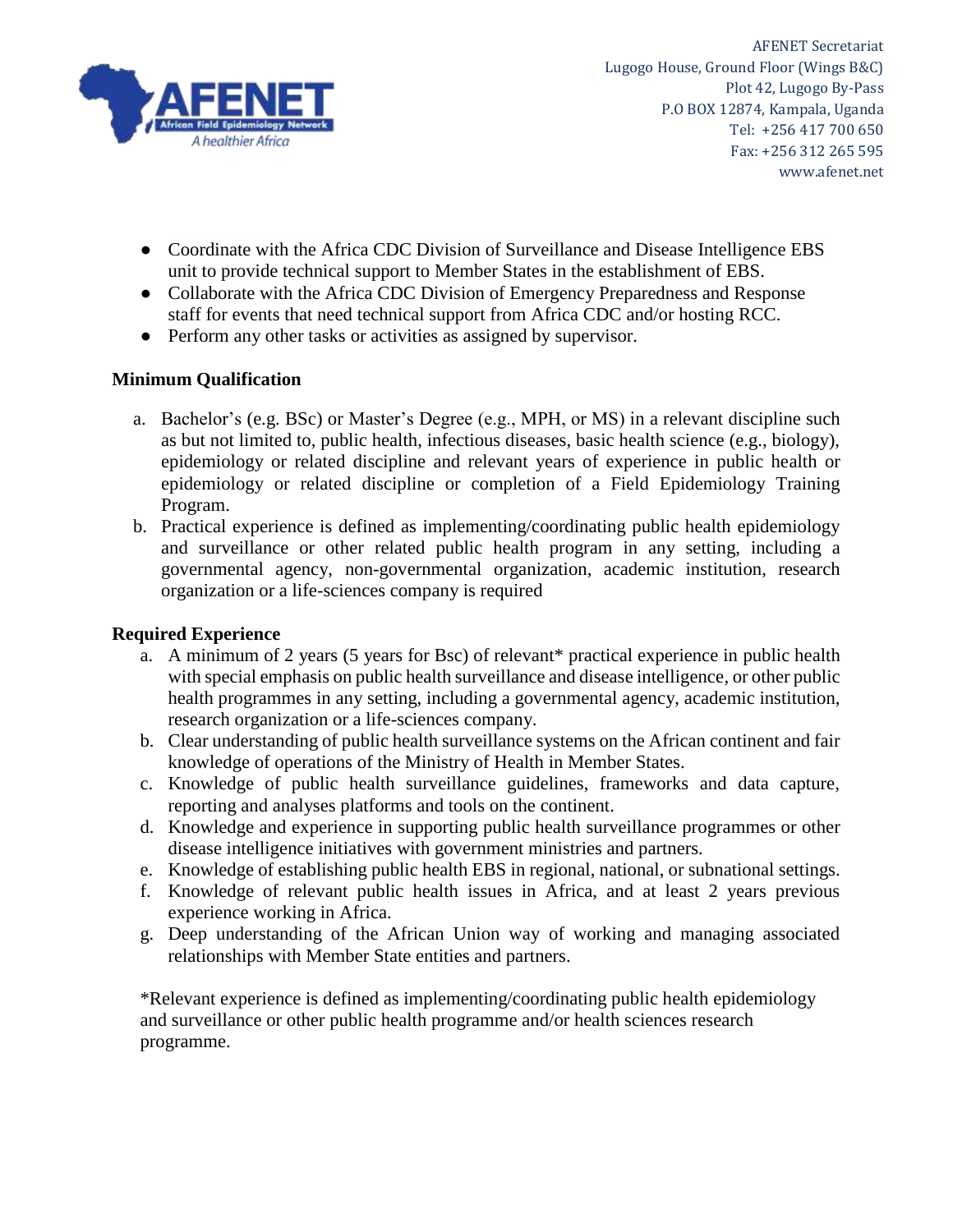

AFENET Secretariat Lugogo House, Ground Floor (Wings B&C) Plot 42, Lugogo By-Pass P.O BOX 12874, Kampala, Uganda Tel: +256 417 700 650 Fax: +256 312 265 595 www.afenet.net

- Coordinate with the Africa CDC Division of Surveillance and Disease Intelligence EBS unit to provide technical support to Member States in the establishment of EBS.
- Collaborate with the Africa CDC Division of Emergency Preparedness and Response staff for events that need technical support from Africa CDC and/or hosting RCC.
- Perform any other tasks or activities as assigned by supervisor.

# **Minimum Qualification**

- a. Bachelor's (e.g. BSc) or Master's Degree (e.g., MPH, or MS) in a relevant discipline such as but not limited to, public health, infectious diseases, basic health science (e.g., biology), epidemiology or related discipline and relevant years of experience in public health or epidemiology or related discipline or completion of a Field Epidemiology Training Program.
- b. Practical experience is defined as implementing/coordinating public health epidemiology and surveillance or other related public health program in any setting, including a governmental agency, non-governmental organization, academic institution, research organization or a life-sciences company is required

# **Required Experience**

- a. A minimum of 2 years (5 years for Bsc) of relevant\* practical experience in public health with special emphasis on public health surveillance and disease intelligence, or other public health programmes in any setting, including a governmental agency, academic institution, research organization or a life-sciences company.
- b. Clear understanding of public health surveillance systems on the African continent and fair knowledge of operations of the Ministry of Health in Member States.
- c. Knowledge of public health surveillance guidelines, frameworks and data capture, reporting and analyses platforms and tools on the continent.
- d. Knowledge and experience in supporting public health surveillance programmes or other disease intelligence initiatives with government ministries and partners.
- e. Knowledge of establishing public health EBS in regional, national, or subnational settings.
- f. Knowledge of relevant public health issues in Africa, and at least 2 years previous experience working in Africa.
- g. Deep understanding of the African Union way of working and managing associated relationships with Member State entities and partners.

\*Relevant experience is defined as implementing/coordinating public health epidemiology and surveillance or other public health programme and/or health sciences research programme.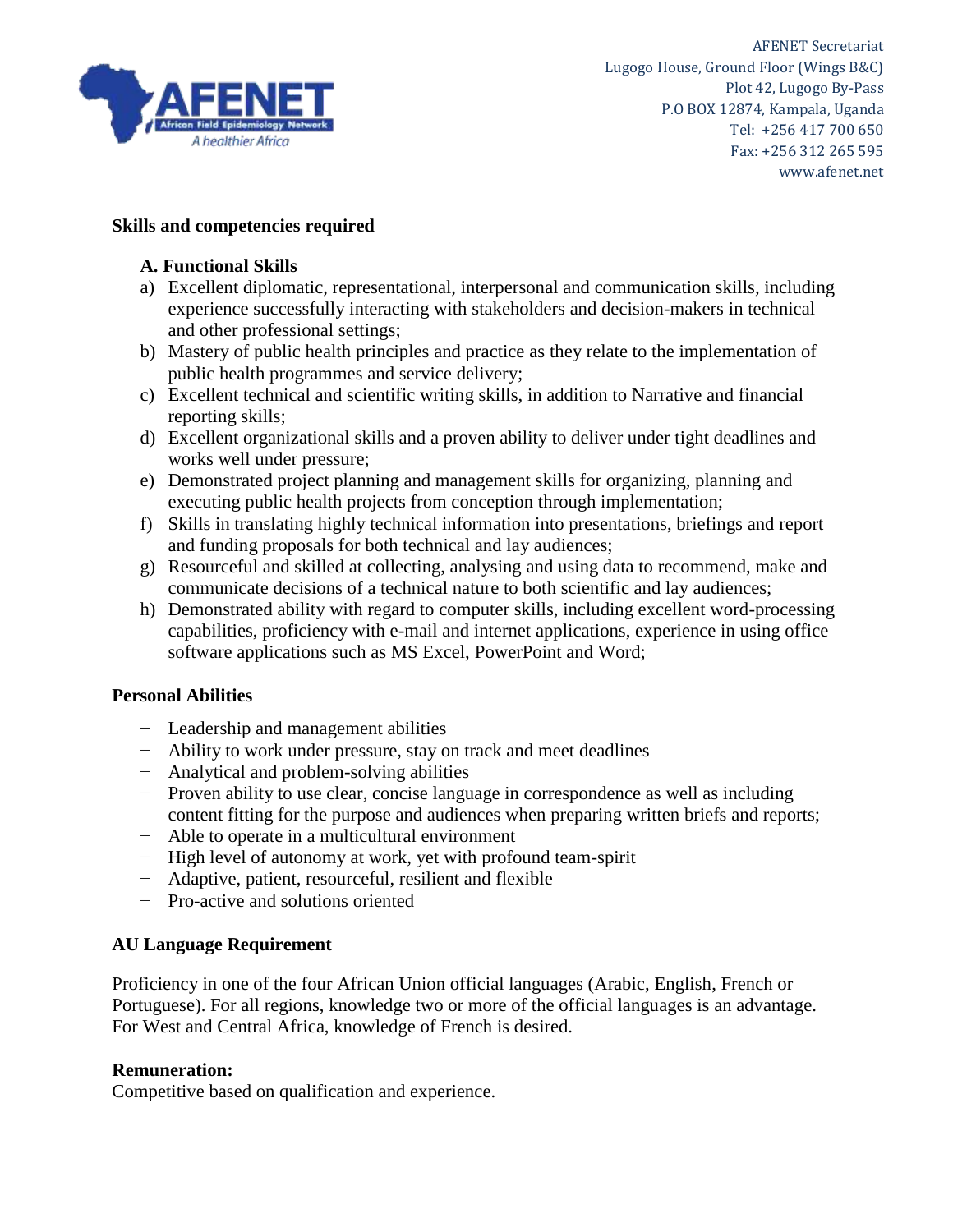

## **Skills and competencies required**

#### **A. Functional Skills**

- a) Excellent diplomatic, representational, interpersonal and communication skills, including experience successfully interacting with stakeholders and decision-makers in technical and other professional settings;
- b) Mastery of public health principles and practice as they relate to the implementation of public health programmes and service delivery;
- c) Excellent technical and scientific writing skills, in addition to Narrative and financial reporting skills;
- d) Excellent organizational skills and a proven ability to deliver under tight deadlines and works well under pressure;
- e) Demonstrated project planning and management skills for organizing, planning and executing public health projects from conception through implementation;
- f) Skills in translating highly technical information into presentations, briefings and report and funding proposals for both technical and lay audiences;
- g) Resourceful and skilled at collecting, analysing and using data to recommend, make and communicate decisions of a technical nature to both scientific and lay audiences;
- h) Demonstrated ability with regard to computer skills, including excellent word-processing capabilities, proficiency with e-mail and internet applications, experience in using office software applications such as MS Excel, PowerPoint and Word;

#### **Personal Abilities**

- − Leadership and management abilities
- − Ability to work under pressure, stay on track and meet deadlines
- − Analytical and problem-solving abilities
- − Proven ability to use clear, concise language in correspondence as well as including content fitting for the purpose and audiences when preparing written briefs and reports;
- − Able to operate in a multicultural environment
- − High level of autonomy at work, yet with profound team-spirit
- − Adaptive, patient, resourceful, resilient and flexible
- − Pro-active and solutions oriented

#### **AU Language Requirement**

Proficiency in one of the four African Union official languages (Arabic, English, French or Portuguese). For all regions, knowledge two or more of the official languages is an advantage. For West and Central Africa, knowledge of French is desired.

#### **Remuneration:**

Competitive based on qualification and experience.